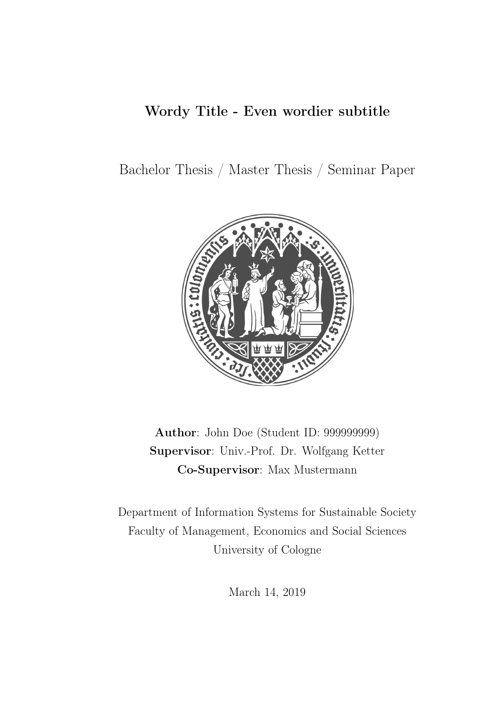### <span id="page-0-0"></span>Wordy Title - Even wordier subtitle

Bachelor Thesis / Master Thesis / Seminar Paper



Author: John Doe (Student ID: 999999999) Supervisor: Univ.-Prof. Dr. Wolfgang Ketter Co-Supervisor: Max Mustermann

Department of Information Systems for Sustainable Society Faculty of Management, Economics and Social Sciences University of Cologne

March 14, 2019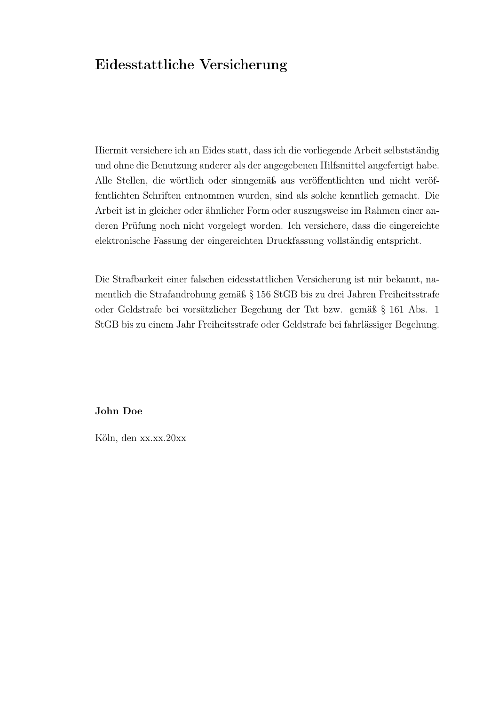#### Eidesstattliche Versicherung

Hiermit versichere ich an Eides statt, dass ich die vorliegende Arbeit selbstständig und ohne die Benutzung anderer als der angegebenen Hilfsmittel angefertigt habe. Alle Stellen, die wörtlich oder sinngemäß aus veröffentlichten und nicht veröffentlichten Schriften entnommen wurden, sind als solche kenntlich gemacht. Die Arbeit ist in gleicher oder ähnlicher Form oder auszugsweise im Rahmen einer anderen Prüfung noch nicht vorgelegt worden. Ich versichere, dass die eingereichte elektronische Fassung der eingereichten Druckfassung vollständig entspricht.

Die Strafbarkeit einer falschen eidesstattlichen Versicherung ist mir bekannt, namentlich die Strafandrohung gemäß § 156 StGB bis zu drei Jahren Freiheitsstrafe oder Geldstrafe bei vorsätzlicher Begehung der Tat bzw. gemäß § 161 Abs. 1 StGB bis zu einem Jahr Freiheitsstrafe oder Geldstrafe bei fahrlässiger Begehung.

#### John Doe

Köln, den xx.xx.20xx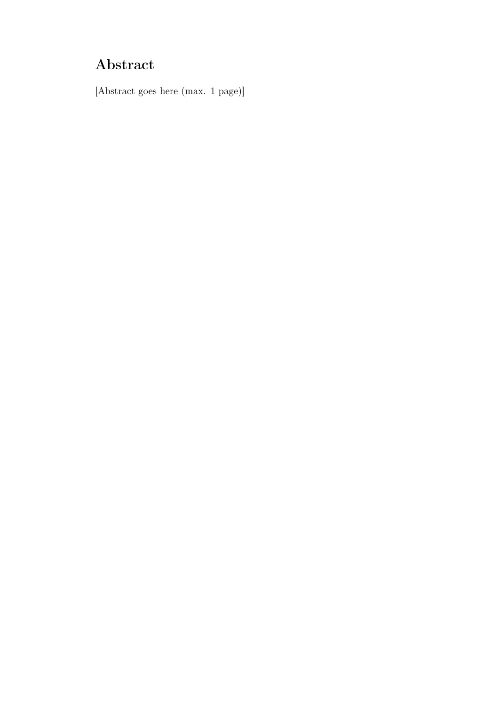# Abstract

[Abstract goes here (max. 1 page)]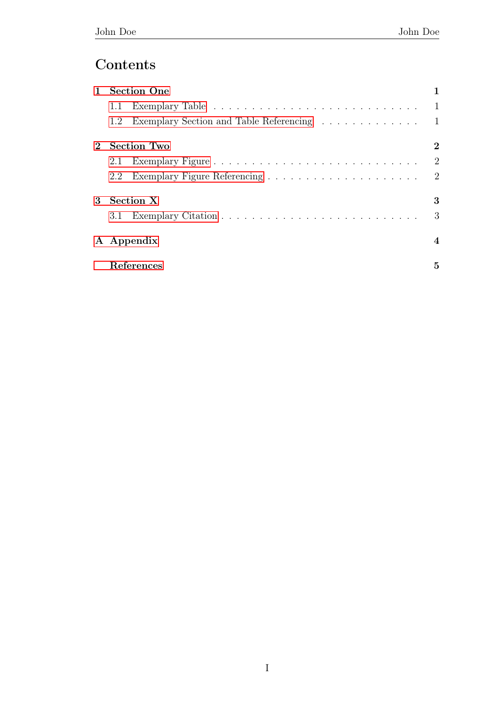### Contents

| $\mathbf{1}$ | <b>Section One</b> |                                           |                |
|--------------|--------------------|-------------------------------------------|----------------|
|              | 1.1                |                                           |                |
|              | 1.2                | Exemplary Section and Table Referencing 1 |                |
|              | Section Two        |                                           | $\bf{2}$       |
|              | 2.1                |                                           | $\overline{2}$ |
|              | $2.2^{\circ}$      |                                           |                |
| $3^-$        | Section X          |                                           | 3              |
|              |                    |                                           | 3              |
|              | A Appendix         |                                           | 4              |
|              | References         |                                           | 5              |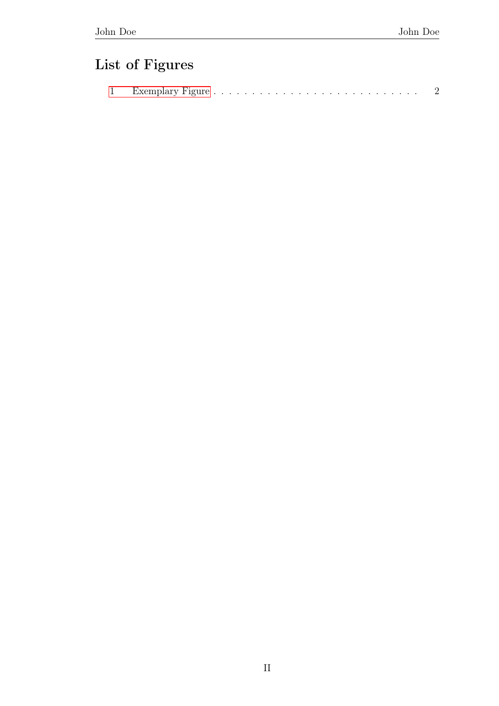# List of Figures

|  | ᅩ |  |  |  |  |  |  |  |  |  |  |  |  |  |  |  |  |  |  |  |  |  |  |  |  |  |  |  |  |  |  |
|--|---|--|--|--|--|--|--|--|--|--|--|--|--|--|--|--|--|--|--|--|--|--|--|--|--|--|--|--|--|--|--|
|--|---|--|--|--|--|--|--|--|--|--|--|--|--|--|--|--|--|--|--|--|--|--|--|--|--|--|--|--|--|--|--|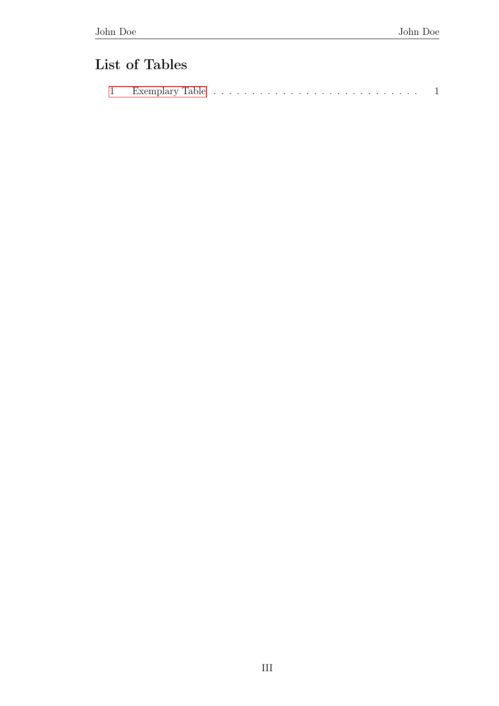## List of Tables

| Exemplary Table<br><b>.</b> |  |  |  |  |  |  |  |  |  |  |  |  |  |  |  |  |  |  |  |  |  |  |  |  |  |  |  |  |  |  |
|-----------------------------|--|--|--|--|--|--|--|--|--|--|--|--|--|--|--|--|--|--|--|--|--|--|--|--|--|--|--|--|--|--|
|-----------------------------|--|--|--|--|--|--|--|--|--|--|--|--|--|--|--|--|--|--|--|--|--|--|--|--|--|--|--|--|--|--|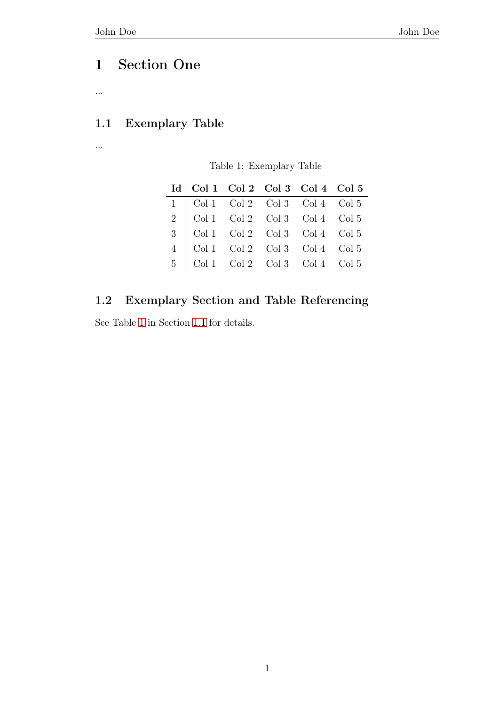### <span id="page-6-0"></span>1 Section One

...

#### <span id="page-6-1"></span>1.1 Exemplary Table

<span id="page-6-3"></span>...

Table 1: Exemplary Table

| Id   Col 1 Col 2 Col 3 Col 4 Col 5                                                                                                                                                                                                                                                     |  |  |
|----------------------------------------------------------------------------------------------------------------------------------------------------------------------------------------------------------------------------------------------------------------------------------------|--|--|
|                                                                                                                                                                                                                                                                                        |  |  |
|                                                                                                                                                                                                                                                                                        |  |  |
|                                                                                                                                                                                                                                                                                        |  |  |
|                                                                                                                                                                                                                                                                                        |  |  |
| $\begin{tabular}{c cccc} \hline 1 & Col 1 & Col 2 & Col 3 & Col 4 & Col 5 \\ 2 & Col 1 & Col 2 & Col 3 & Col 4 & Col 5 \\ 3 & Col 1 & Col 2 & Col 3 & Col 4 & Col 5 \\ 4 & Col 1 & Col 2 & Col 3 & Col 4 & Col 5 \\ 5 & Col 1 & Col 2 & Col 3 & Col 4 & Col 5 \\ \hline \end{tabular}$ |  |  |

#### <span id="page-6-2"></span>1.2 Exemplary Section and Table Referencing

See Table [1](#page-6-3) in Section [1.1](#page-6-1) for details.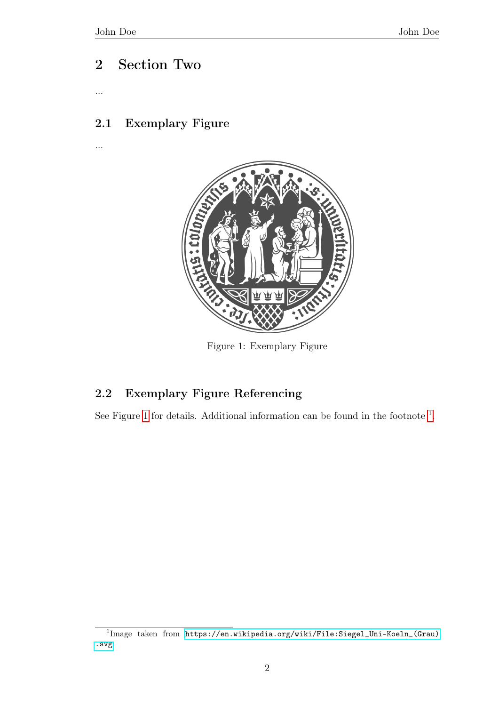...

<span id="page-7-3"></span>...

### <span id="page-7-0"></span>2 Section Two

<span id="page-7-1"></span>2.1 Exemplary Figure



Figure 1: Exemplary Figure

#### <span id="page-7-2"></span>2.2 Exemplary Figure Referencing

See Figure [1](#page-7-3) for details. Additional information can be found in the footnote  $<sup>1</sup>$  $<sup>1</sup>$  $<sup>1</sup>$ .</sup>

<sup>&</sup>lt;sup>1</sup>Image taken from [https://en.wikipedia.org/wiki/File:Siegel\\_Uni-Koeln\\_\(Grau\)](https://en.wikipedia.org/wiki/File:Siegel_Uni-Koeln_(Grau).svg) [.svg](https://en.wikipedia.org/wiki/File:Siegel_Uni-Koeln_(Grau).svg).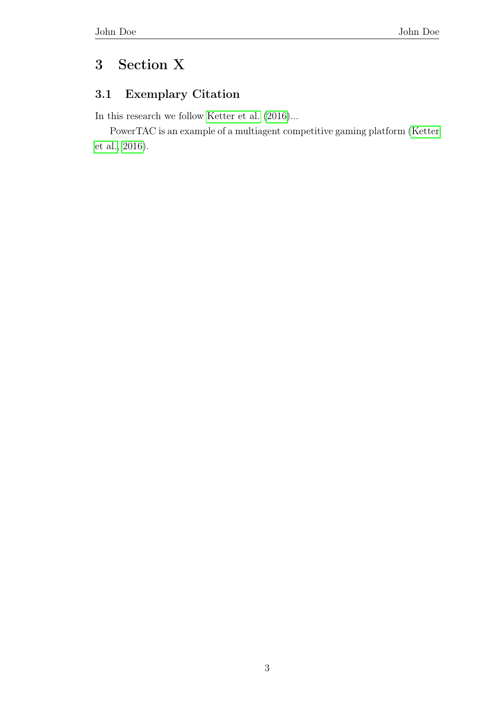### <span id="page-8-0"></span>3 Section X

#### <span id="page-8-1"></span>3.1 Exemplary Citation

In this research we follow [Ketter et al.](#page-10-1)  $(2016) \ldots$  $(2016) \ldots$ 

PowerTAC is an example of a multiagent competitive gaming platform [\(Ketter](#page-10-1) [et al., 2016\)](#page-10-1).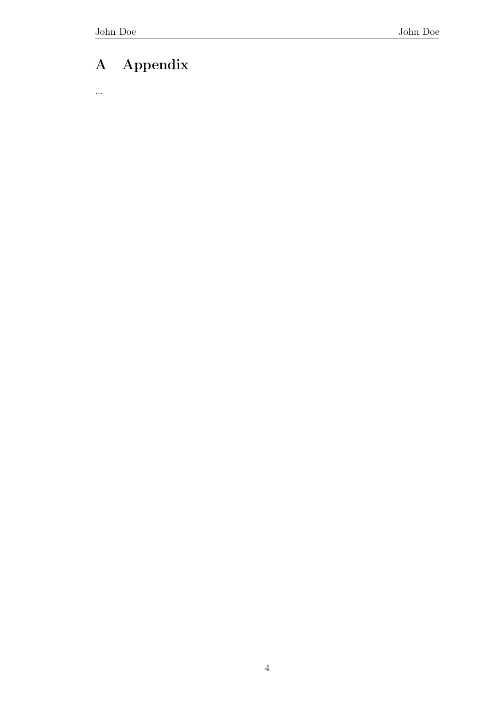# <span id="page-9-0"></span>A Appendix

...